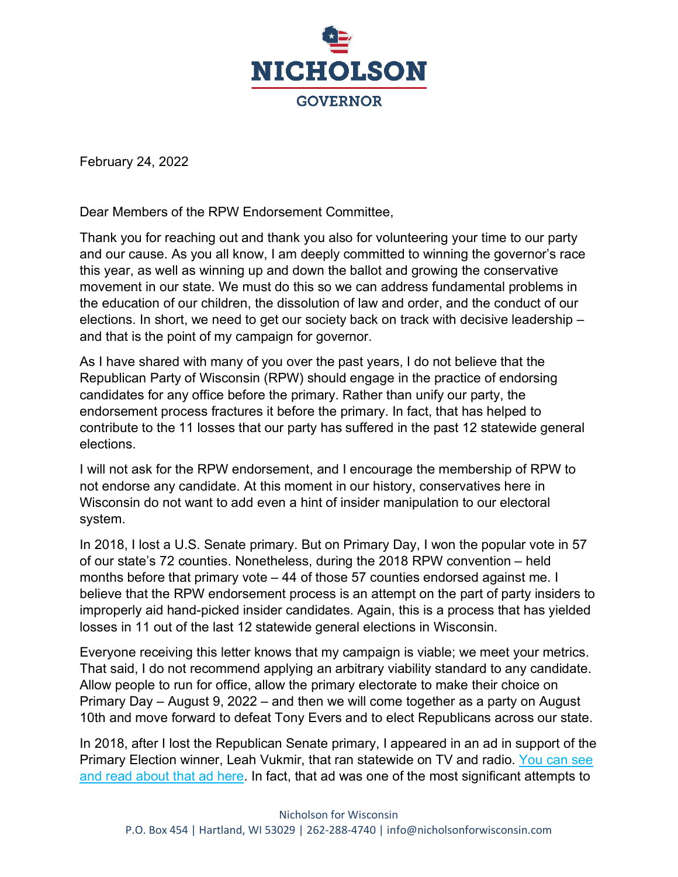

February 24, 2022

Dear Members of the RPW Endorsement Committee,

Thank you for reaching out and thank you also for volunteering your time to our party and our cause. As you all know, I am deeply committed to winning the governor's race this year, as well as winning up and down the ballot and growing the conservative movement in our state. We must do this so we can address fundamental problems in the education of our children, the dissolution of law and order, and the conduct of our elections. In short, we need to get our society back on track with decisive leadership – and that is the point of my campaign for governor.

As I have shared with many of you over the past years, I do not believe that the Republican Party of Wisconsin (RPW) should engage in the practice of endorsing candidates for any office before the primary. Rather than unify our party, the endorsement process fractures it before the primary. In fact, that has helped to contribute to the 11 losses that our party has suffered in the past 12 statewide general elections.

I will not ask for the RPW endorsement, and I encourage the membership of RPW to not endorse any candidate. At this moment in our history, conservatives here in Wisconsin do not want to add even a hint of insider manipulation to our electoral system.

In 2018, I lost a U.S. Senate primary. But on Primary Day, I won the popular vote in 57 of our state's 72 counties. Nonetheless, during the 2018 RPW convention – held months before that primary vote – 44 of those 57 counties endorsed against me. I believe that the RPW endorsement process is an attempt on the part of party insiders to improperly aid hand-picked insider candidates. Again, this is a process that has yielded losses in 11 out of the last 12 statewide general elections in Wisconsin.

Everyone receiving this letter knows that my campaign is viable; we meet your metrics. That said, I do not recommend applying an arbitrary viability standard to any candidate. Allow people to run for office, allow the primary electorate to make their choice on Primary Day – August 9, 2022 – and then we will come together as a party on August 10th and move forward to defeat Tony Evers and to elect Republicans across our state.

In 2018, after I lost the Republican Senate primary, I appeared in an ad in support of the Primary Election winner, Leah Vukmir, that ran statewide on TV and radio. You can see [and read about that ad here.](https://fox11online.com/news/election/nicholson-cuts-ad-in-support-of-vukmir-in-senate-race) In fact, that ad was one of the most significant attempts to